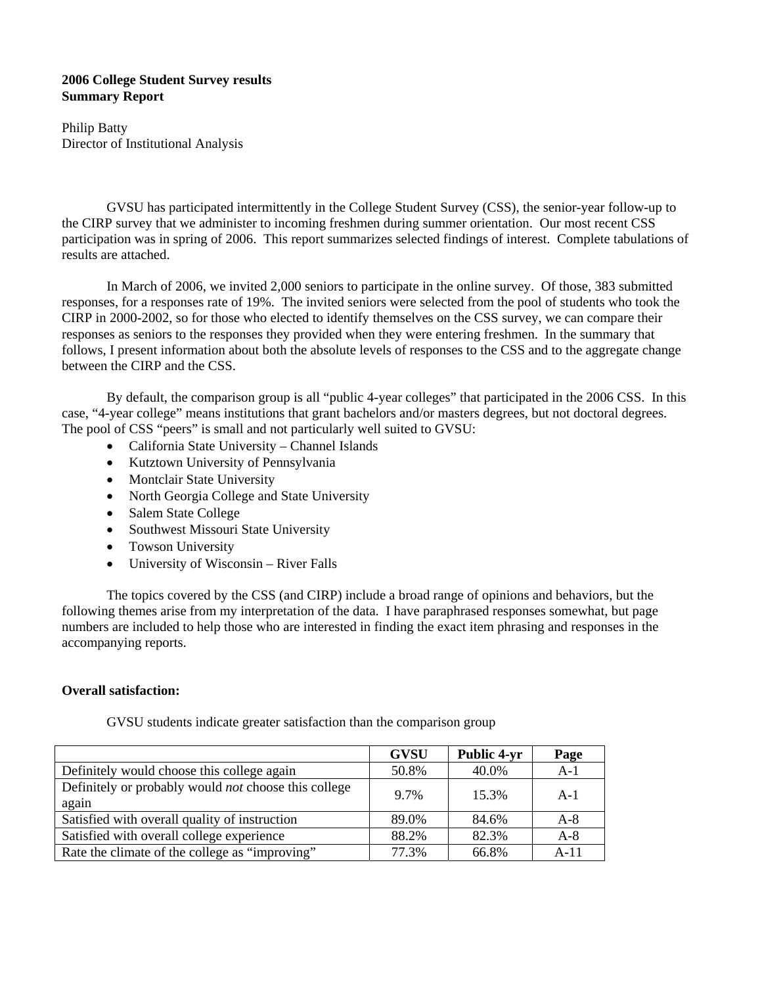## **2006 College Student Survey results Summary Report**

Philip Batty Director of Institutional Analysis

GVSU has participated intermittently in the College Student Survey (CSS), the senior-year follow-up to the CIRP survey that we administer to incoming freshmen during summer orientation. Our most recent CSS participation was in spring of 2006. This report summarizes selected findings of interest. Complete tabulations of results are attached.

 In March of 2006, we invited 2,000 seniors to participate in the online survey. Of those, 383 submitted responses, for a responses rate of 19%. The invited seniors were selected from the pool of students who took the CIRP in 2000-2002, so for those who elected to identify themselves on the CSS survey, we can compare their responses as seniors to the responses they provided when they were entering freshmen. In the summary that follows, I present information about both the absolute levels of responses to the CSS and to the aggregate change between the CIRP and the CSS.

 By default, the comparison group is all "public 4-year colleges" that participated in the 2006 CSS. In this case, "4-year college" means institutions that grant bachelors and/or masters degrees, but not doctoral degrees. The pool of CSS "peers" is small and not particularly well suited to GVSU:

- California State University Channel Islands
- Kutztown University of Pennsylvania
- Montclair State University
- North Georgia College and State University
- Salem State College
- Southwest Missouri State University
- Towson University
- University of Wisconsin River Falls

 The topics covered by the CSS (and CIRP) include a broad range of opinions and behaviors, but the following themes arise from my interpretation of the data. I have paraphrased responses somewhat, but page numbers are included to help those who are interested in finding the exact item phrasing and responses in the accompanying reports.

#### **Overall satisfaction:**

|                                                                      | <b>GVSU</b> | <b>Public 4-yr</b> | Page   |
|----------------------------------------------------------------------|-------------|--------------------|--------|
| Definitely would choose this college again                           | 50.8%       | 40.0%              | $A-1$  |
| Definitely or probably would <i>not</i> choose this college<br>again | 9.7%        | 15.3%              | $A-1$  |
| Satisfied with overall quality of instruction                        | 89.0%       | 84.6%              | $A-8$  |
| Satisfied with overall college experience                            | 88.2%       | 82.3%              | $A-8$  |
| Rate the climate of the college as "improving"                       | 77.3%       | 66.8%              | $A-11$ |

GVSU students indicate greater satisfaction than the comparison group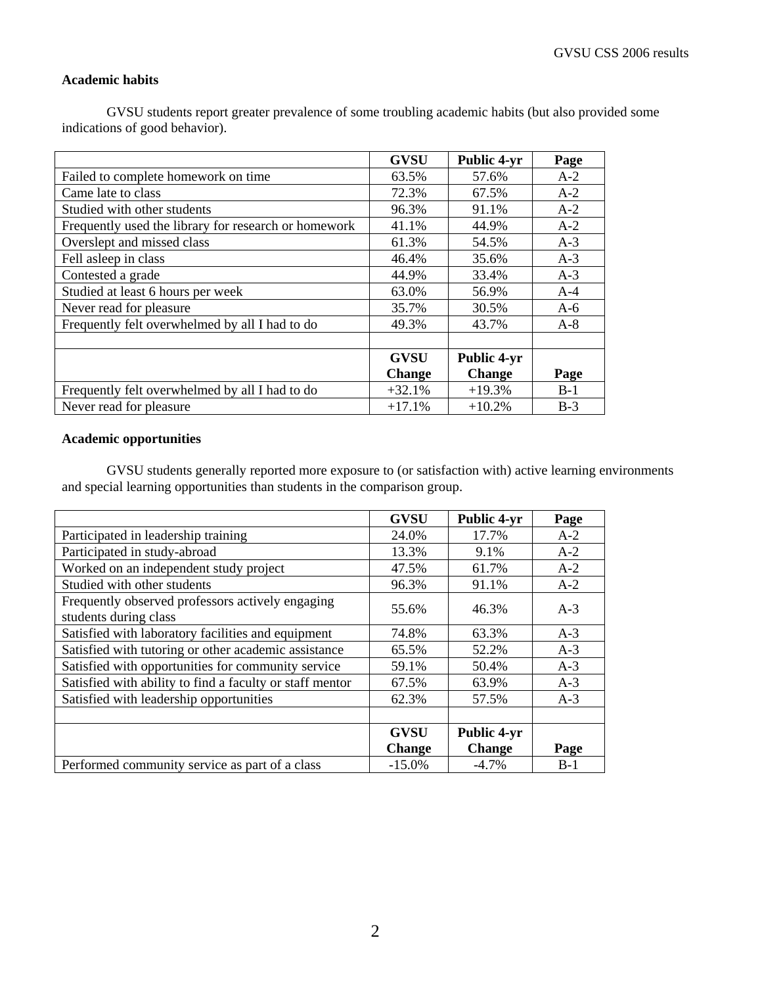## **Academic habits**

 GVSU students report greater prevalence of some troubling academic habits (but also provided some indications of good behavior).

|                                                      | <b>GVSU</b>   | <b>Public 4-yr</b> | Page  |
|------------------------------------------------------|---------------|--------------------|-------|
| Failed to complete homework on time                  | 63.5%         | 57.6%              | $A-2$ |
| Came late to class                                   | 72.3%         | 67.5%              | $A-2$ |
| Studied with other students                          | 96.3%         | 91.1%              | $A-2$ |
| Frequently used the library for research or homework | 41.1%         | 44.9%              | $A-2$ |
| Overslept and missed class                           | 61.3%         | 54.5%              | $A-3$ |
| Fell asleep in class                                 | 46.4%         | 35.6%              | $A-3$ |
| Contested a grade                                    | 44.9%         | 33.4%              | $A-3$ |
| Studied at least 6 hours per week                    | 63.0%         | 56.9%              | $A-4$ |
| Never read for pleasure                              | 35.7%         | 30.5%              | $A-6$ |
| Frequently felt overwhelmed by all I had to do       | 49.3%         | 43.7%              | $A-8$ |
|                                                      |               |                    |       |
|                                                      | <b>GVSU</b>   | Public 4-yr        |       |
|                                                      | <b>Change</b> | <b>Change</b>      | Page  |
| Frequently felt overwhelmed by all I had to do       | $+32.1%$      | $+19.3%$           | $B-1$ |
| Never read for pleasure.                             | $+17.1%$      | $+10.2%$           | $B-3$ |

#### **Academic opportunities**

 GVSU students generally reported more exposure to (or satisfaction with) active learning environments and special learning opportunities than students in the comparison group.

|                                                          | <b>GVSU</b>   | <b>Public 4-yr</b> | Page  |
|----------------------------------------------------------|---------------|--------------------|-------|
| Participated in leadership training                      | 24.0%         | 17.7%              | $A-2$ |
| Participated in study-abroad                             | 13.3%         | 9.1%               | $A-2$ |
| Worked on an independent study project                   | 47.5%         | 61.7%              | $A-2$ |
| Studied with other students                              | 96.3%         | 91.1%              | $A-2$ |
| Frequently observed professors actively engaging         | 55.6%         | 46.3%              | $A-3$ |
| students during class                                    |               |                    |       |
| Satisfied with laboratory facilities and equipment       | 74.8%         | 63.3%              | $A-3$ |
| Satisfied with tutoring or other academic assistance     | 65.5%         | 52.2%              | $A-3$ |
| Satisfied with opportunities for community service       | 59.1%         | 50.4%              | $A-3$ |
| Satisfied with ability to find a faculty or staff mentor | 67.5%         | 63.9%              | $A-3$ |
| Satisfied with leadership opportunities                  | 62.3%         | 57.5%              | $A-3$ |
|                                                          |               |                    |       |
|                                                          | <b>GVSU</b>   | <b>Public 4-yr</b> |       |
|                                                          | <b>Change</b> | <b>Change</b>      | Page  |
| Performed community service as part of a class           | $-15.0%$      | $-4.7\%$           | $B-1$ |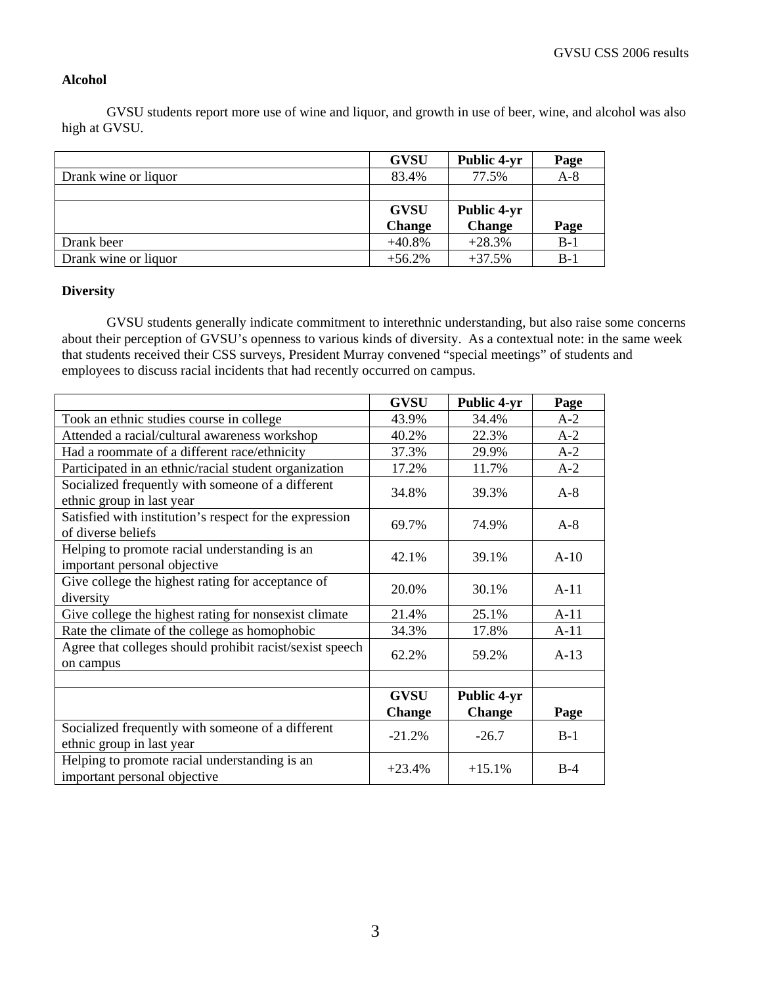#### **Alcohol**

 GVSU students report more use of wine and liquor, and growth in use of beer, wine, and alcohol was also high at GVSU.

|                      | <b>GVSU</b>   | <b>Public 4-yr</b> | Page  |
|----------------------|---------------|--------------------|-------|
| Drank wine or liquor | 83.4%         | 77.5%              | $A-8$ |
|                      |               |                    |       |
|                      | <b>GVSU</b>   | <b>Public 4-yr</b> |       |
|                      | <b>Change</b> | <b>Change</b>      | Page  |
| Drank beer           | $+40.8%$      | $+28.3%$           | $B-1$ |
| Drank wine or liquor | $+56.2%$      | $+37.5%$           | $B-1$ |

## **Diversity**

 GVSU students generally indicate commitment to interethnic understanding, but also raise some concerns about their perception of GVSU's openness to various kinds of diversity. As a contextual note: in the same week that students received their CSS surveys, President Murray convened "special meetings" of students and employees to discuss racial incidents that had recently occurred on campus.

|                                                                                | <b>GVSU</b>   | <b>Public 4-yr</b> | Page   |
|--------------------------------------------------------------------------------|---------------|--------------------|--------|
| Took an ethnic studies course in college                                       | 43.9%         | 34.4%              | $A-2$  |
| Attended a racial/cultural awareness workshop                                  | 40.2%         | 22.3%              | $A-2$  |
| Had a roommate of a different race/ethnicity                                   | 37.3%         | 29.9%              | $A-2$  |
| Participated in an ethnic/racial student organization                          | 17.2%         | 11.7%              | $A-2$  |
| Socialized frequently with someone of a different<br>ethnic group in last year | 34.8%         | 39.3%              | $A-8$  |
| Satisfied with institution's respect for the expression<br>of diverse beliefs  | 69.7%         | 74.9%              | $A-8$  |
| Helping to promote racial understanding is an<br>important personal objective  | 42.1%         | 39.1%              | $A-10$ |
| Give college the highest rating for acceptance of<br>diversity                 | 20.0%         | 30.1%              | $A-11$ |
| Give college the highest rating for nonsexist climate                          | 21.4%         | 25.1%              | $A-11$ |
| Rate the climate of the college as homophobic                                  | 34.3%         | 17.8%              | $A-11$ |
| Agree that colleges should prohibit racist/sexist speech<br>on campus          | 62.2%         | 59.2%              | $A-13$ |
|                                                                                |               |                    |        |
|                                                                                | <b>GVSU</b>   | <b>Public 4-yr</b> |        |
|                                                                                | <b>Change</b> | <b>Change</b>      | Page   |
| Socialized frequently with someone of a different<br>ethnic group in last year | $-21.2%$      | $-26.7$            | $B-1$  |
| Helping to promote racial understanding is an<br>important personal objective  | $+23.4%$      | $+15.1%$           | $B-4$  |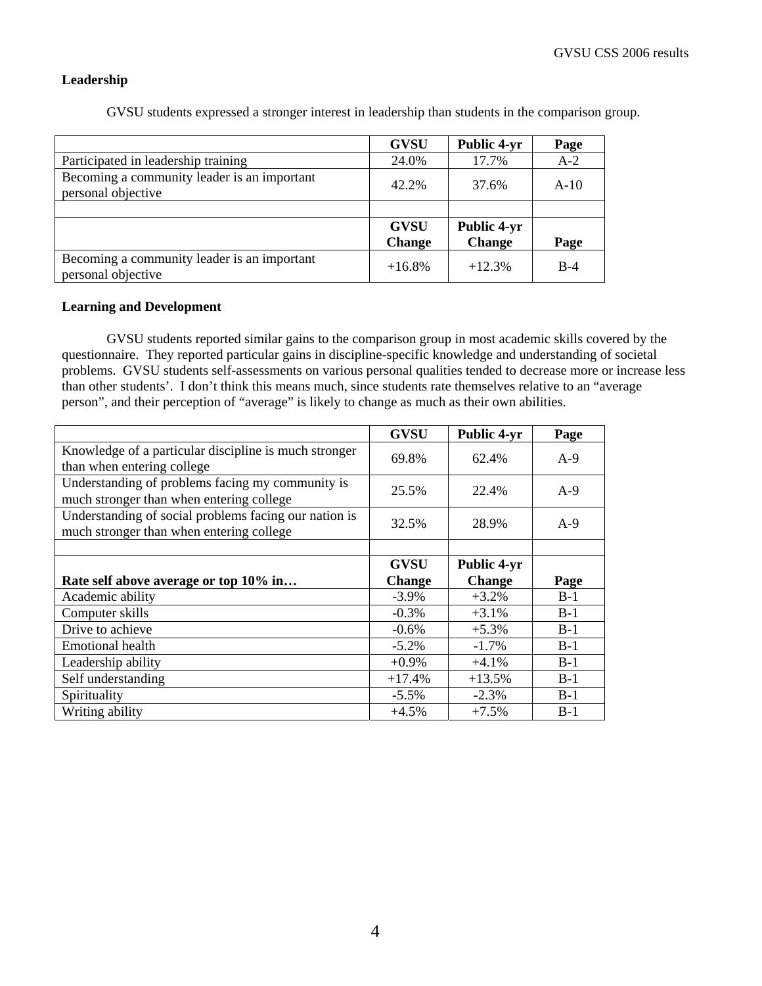#### **Leadership**

|                                                                   | <b>GVSU</b>                  | <b>Public 4-yr</b>           | Page   |
|-------------------------------------------------------------------|------------------------------|------------------------------|--------|
| Participated in leadership training                               | 24.0%                        | 17.7%                        | $A-2$  |
| Becoming a community leader is an important<br>personal objective | 42.2%                        | 37.6%                        | $A-10$ |
|                                                                   |                              |                              |        |
|                                                                   | <b>GVSU</b><br><b>Change</b> | Public 4-yr<br><b>Change</b> | Page   |
| Becoming a community leader is an important<br>personal objective | $+16.8%$                     | $+12.3%$                     | $B-4$  |

GVSU students expressed a stronger interest in leadership than students in the comparison group.

#### **Learning and Development**

 GVSU students reported similar gains to the comparison group in most academic skills covered by the questionnaire. They reported particular gains in discipline-specific knowledge and understanding of societal problems. GVSU students self-assessments on various personal qualities tended to decrease more or increase less than other students'. I don't think this means much, since students rate themselves relative to an "average person", and their perception of "average" is likely to change as much as their own abilities.

|                                                                                                   | <b>GVSU</b>   | Public 4-yr   | Page  |
|---------------------------------------------------------------------------------------------------|---------------|---------------|-------|
| Knowledge of a particular discipline is much stronger<br>than when entering college               | 69.8%         | 62.4%         | $A-9$ |
| Understanding of problems facing my community is<br>much stronger than when entering college      | 25.5%         | 22.4%         | $A-9$ |
| Understanding of social problems facing our nation is<br>much stronger than when entering college | 32.5%         | 28.9%         | $A-9$ |
|                                                                                                   |               |               |       |
|                                                                                                   | <b>GVSU</b>   | Public 4-yr   |       |
| Rate self above average or top 10% in                                                             | <b>Change</b> | <b>Change</b> | Page  |
| Academic ability                                                                                  | $-3.9\%$      | $+3.2%$       | $B-1$ |
| Computer skills                                                                                   | $-0.3\%$      | $+3.1%$       | $B-1$ |
| Drive to achieve                                                                                  | $-0.6%$       | $+5.3%$       | $B-1$ |
| <b>Emotional health</b>                                                                           | $-5.2\%$      | $-1.7\%$      | $B-1$ |
| Leadership ability                                                                                | $+0.9\%$      | $+4.1%$       | $B-1$ |
| Self understanding                                                                                | $+17.4%$      | $+13.5%$      | $B-1$ |
| Spirituality                                                                                      |               |               | $B-1$ |
|                                                                                                   | $-5.5\%$      | $-2.3%$       |       |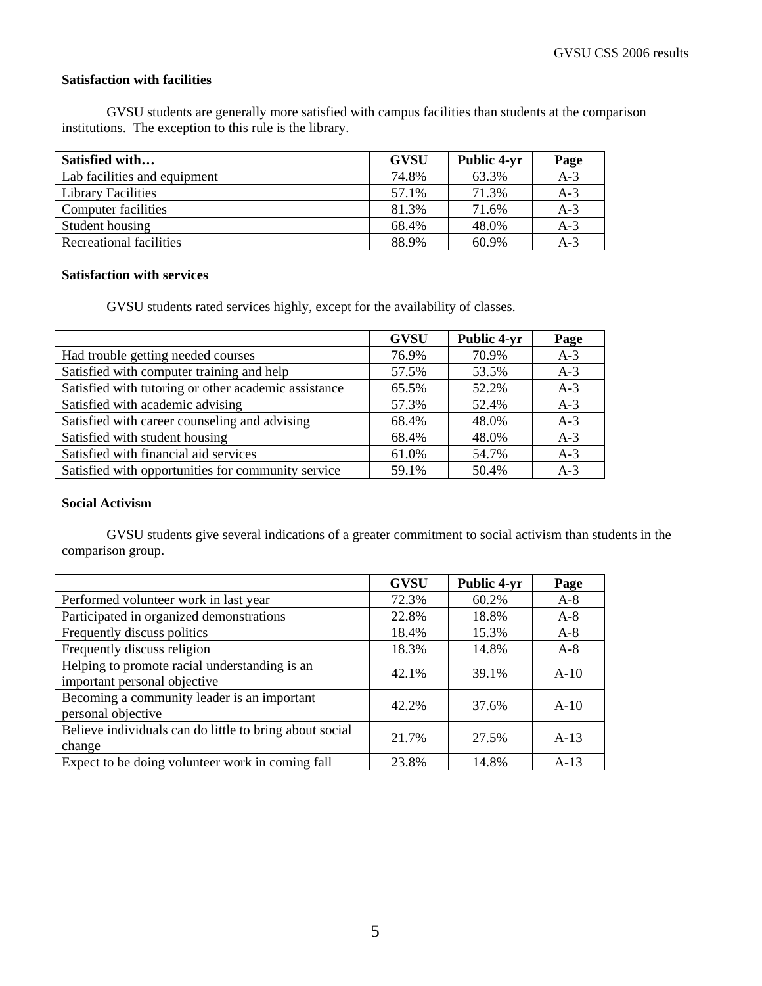## **Satisfaction with facilities**

 GVSU students are generally more satisfied with campus facilities than students at the comparison institutions. The exception to this rule is the library.

| Satisfied with               | <b>GVSU</b> | <b>Public 4-yr</b> | Page  |
|------------------------------|-------------|--------------------|-------|
| Lab facilities and equipment | 74.8%       | 63.3%              | $A-3$ |
| <b>Library Facilities</b>    | 57.1%       | 71.3%              | $A-3$ |
| Computer facilities          | 81.3%       | 71.6%              | $A-3$ |
| Student housing              | 68.4%       | 48.0%              | $A-3$ |
| Recreational facilities      | 88.9%       | 60.9%              | $A-3$ |

#### **Satisfaction with services**

GVSU students rated services highly, except for the availability of classes.

|                                                      | <b>GVSU</b> | <b>Public 4-yr</b> | Page  |
|------------------------------------------------------|-------------|--------------------|-------|
| Had trouble getting needed courses                   | 76.9%       | 70.9%              | $A-3$ |
| Satisfied with computer training and help            | 57.5%       | 53.5%              | $A-3$ |
| Satisfied with tutoring or other academic assistance | 65.5%       | 52.2%              | $A-3$ |
| Satisfied with academic advising                     | 57.3%       | 52.4%              | $A-3$ |
| Satisfied with career counseling and advising        | 68.4%       | 48.0%              | $A-3$ |
| Satisfied with student housing                       | 68.4%       | 48.0%              | $A-3$ |
| Satisfied with financial aid services                | 61.0%       | 54.7%              | $A-3$ |
| Satisfied with opportunities for community service   | 59.1%       | 50.4%              | $A-3$ |

## **Social Activism**

 GVSU students give several indications of a greater commitment to social activism than students in the comparison group.

|                                                         | <b>GVSU</b> | <b>Public 4-yr</b> | Page   |
|---------------------------------------------------------|-------------|--------------------|--------|
| Performed volunteer work in last year                   | 72.3%       | 60.2%              | $A-8$  |
| Participated in organized demonstrations                | 22.8%       | 18.8%              | $A-8$  |
| Frequently discuss politics                             | 18.4%       | 15.3%              | $A-8$  |
| Frequently discuss religion                             | 18.3%       | 14.8%              | $A-8$  |
| Helping to promote racial understanding is an           | 42.1%       | 39.1%              | $A-10$ |
| important personal objective                            |             |                    |        |
| Becoming a community leader is an important             | 42.2%       | 37.6%              | $A-10$ |
| personal objective                                      |             |                    |        |
| Believe individuals can do little to bring about social | 21.7%       | 27.5%              | $A-13$ |
| change                                                  |             |                    |        |
| Expect to be doing volunteer work in coming fall        | 23.8%       | 14.8%              | $A-13$ |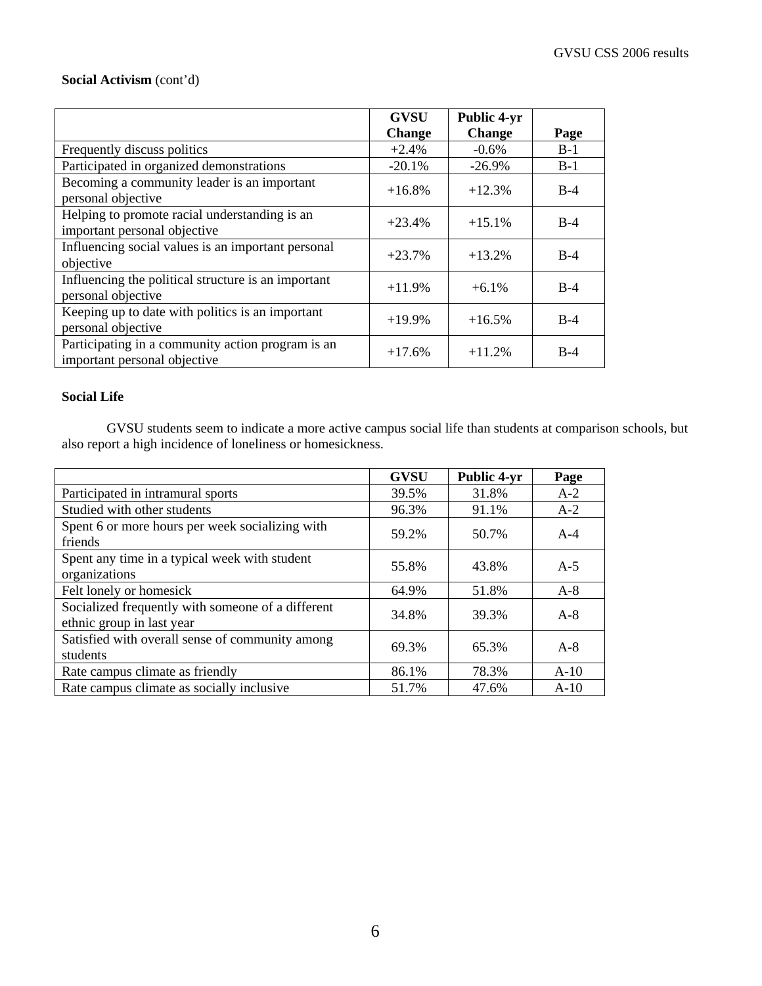## **Social Activism** (cont'd)

|                                                                                   | <b>GVSU</b>   | <b>Public 4-yr</b> |       |
|-----------------------------------------------------------------------------------|---------------|--------------------|-------|
|                                                                                   | <b>Change</b> | <b>Change</b>      | Page  |
| Frequently discuss politics                                                       | $+2.4%$       | $-0.6\%$           | $B-1$ |
| Participated in organized demonstrations                                          | $-20.1%$      | $-26.9\%$          | $B-1$ |
| Becoming a community leader is an important<br>personal objective                 | $+16.8%$      | $+12.3%$           | $B-4$ |
| Helping to promote racial understanding is an<br>important personal objective     | $+23.4%$      | $+15.1%$           | $B-4$ |
| Influencing social values is an important personal<br>objective                   | $+23.7%$      | $+13.2%$           | $B-4$ |
| Influencing the political structure is an important<br>personal objective         | $+11.9%$      | $+6.1\%$           | $B-4$ |
| Keeping up to date with politics is an important<br>personal objective            | $+19.9%$      | $+16.5%$           | $B-4$ |
| Participating in a community action program is an<br>important personal objective | $+17.6%$      | $+11.2%$           | $B-4$ |

#### **Social Life**

 GVSU students seem to indicate a more active campus social life than students at comparison schools, but also report a high incidence of loneliness or homesickness.

|                                                                                | <b>GVSU</b> | <b>Public 4-yr</b> | Page   |
|--------------------------------------------------------------------------------|-------------|--------------------|--------|
| Participated in intramural sports                                              | 39.5%       | 31.8%              | $A-2$  |
| Studied with other students                                                    | 96.3%       | 91.1%              | $A-2$  |
| Spent 6 or more hours per week socializing with<br>friends                     | 59.2%       | 50.7%              | $A-4$  |
| Spent any time in a typical week with student<br>organizations                 | 55.8%       | 43.8%              | $A-5$  |
| Felt lonely or homesick                                                        | 64.9%       | 51.8%              | $A-8$  |
| Socialized frequently with someone of a different<br>ethnic group in last year | 34.8%       | 39.3%              | $A-8$  |
| Satisfied with overall sense of community among<br>students                    | 69.3%       | 65.3%              | $A-8$  |
| Rate campus climate as friendly                                                | 86.1%       | 78.3%              | $A-10$ |
| Rate campus climate as socially inclusive                                      | 51.7%       | 47.6%              | $A-10$ |